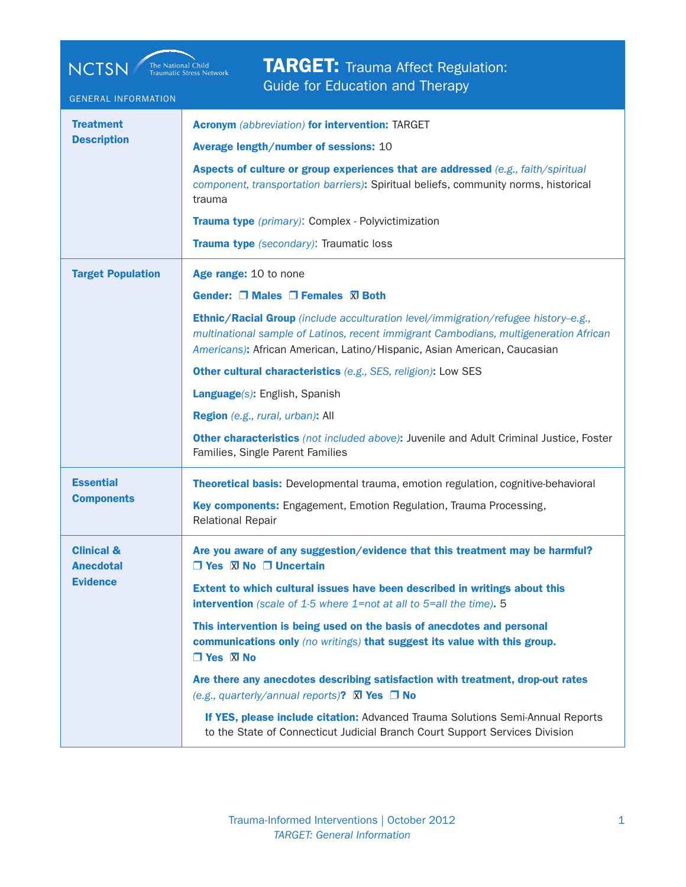| <b>TARGET:</b> Trauma Affect Regulation:<br><b>NCTSN</b><br>The National Child<br>Traumatic Stress Network<br><b>Guide for Education and Therapy</b> |                                                                                                                                                                                                                                                         |  |
|------------------------------------------------------------------------------------------------------------------------------------------------------|---------------------------------------------------------------------------------------------------------------------------------------------------------------------------------------------------------------------------------------------------------|--|
| <b>GENERAL INFORMATION</b>                                                                                                                           |                                                                                                                                                                                                                                                         |  |
| <b>Treatment</b>                                                                                                                                     | <b>Acronym</b> (abbreviation) for intervention: TARGET                                                                                                                                                                                                  |  |
| <b>Description</b>                                                                                                                                   | Average length/number of sessions: 10                                                                                                                                                                                                                   |  |
|                                                                                                                                                      | Aspects of culture or group experiences that are addressed (e.g., faith/spiritual<br>component, transportation barriers): Spiritual beliefs, community norms, historical<br>trauma                                                                      |  |
|                                                                                                                                                      | Trauma type (primary): Complex - Polyvictimization                                                                                                                                                                                                      |  |
|                                                                                                                                                      | Trauma type (secondary): Traumatic loss                                                                                                                                                                                                                 |  |
| <b>Target Population</b>                                                                                                                             | Age range: 10 to none                                                                                                                                                                                                                                   |  |
|                                                                                                                                                      | Gender: $\Box$ Males $\Box$ Females $\Box$ Both                                                                                                                                                                                                         |  |
|                                                                                                                                                      | Ethnic/Racial Group (include acculturation level/immigration/refugee history-e.g.,<br>multinational sample of Latinos, recent immigrant Cambodians, multigeneration African<br>Americans): African American, Latino/Hispanic, Asian American, Caucasian |  |
|                                                                                                                                                      | Other cultural characteristics (e.g., SES, religion): Low SES                                                                                                                                                                                           |  |
|                                                                                                                                                      | Language(s): English, Spanish                                                                                                                                                                                                                           |  |
|                                                                                                                                                      | Region (e.g., rural, urban): All                                                                                                                                                                                                                        |  |
|                                                                                                                                                      | Other characteristics (not included above): Juvenile and Adult Criminal Justice, Foster<br>Families, Single Parent Families                                                                                                                             |  |
| <b>Essential</b>                                                                                                                                     | Theoretical basis: Developmental trauma, emotion regulation, cognitive-behavioral                                                                                                                                                                       |  |
| <b>Components</b>                                                                                                                                    | Key components: Engagement, Emotion Regulation, Trauma Processing,<br><b>Relational Repair</b>                                                                                                                                                          |  |
| <b>Clinical &amp;</b><br><b>Anecdotal</b><br><b>Evidence</b>                                                                                         | Are you aware of any suggestion/evidence that this treatment may be harmful?<br>$\Box$ Yes $\Box$ No $\Box$ Uncertain                                                                                                                                   |  |
|                                                                                                                                                      | Extent to which cultural issues have been described in writings about this<br>intervention (scale of $1-5$ where $1=$ not at all to $5=$ all the time). 5                                                                                               |  |
|                                                                                                                                                      | This intervention is being used on the basis of anecdotes and personal<br>communications only (no writings) that suggest its value with this group.<br>$\Box$ Yes $\Box$ No                                                                             |  |
|                                                                                                                                                      | Are there any anecdotes describing satisfaction with treatment, drop-out rates<br>(e.g., quarterly/annual reports)? $\overline{X}$ Yes $\Box$ No                                                                                                        |  |
|                                                                                                                                                      | If YES, please include citation: Advanced Trauma Solutions Semi-Annual Reports<br>to the State of Connecticut Judicial Branch Court Support Services Division                                                                                           |  |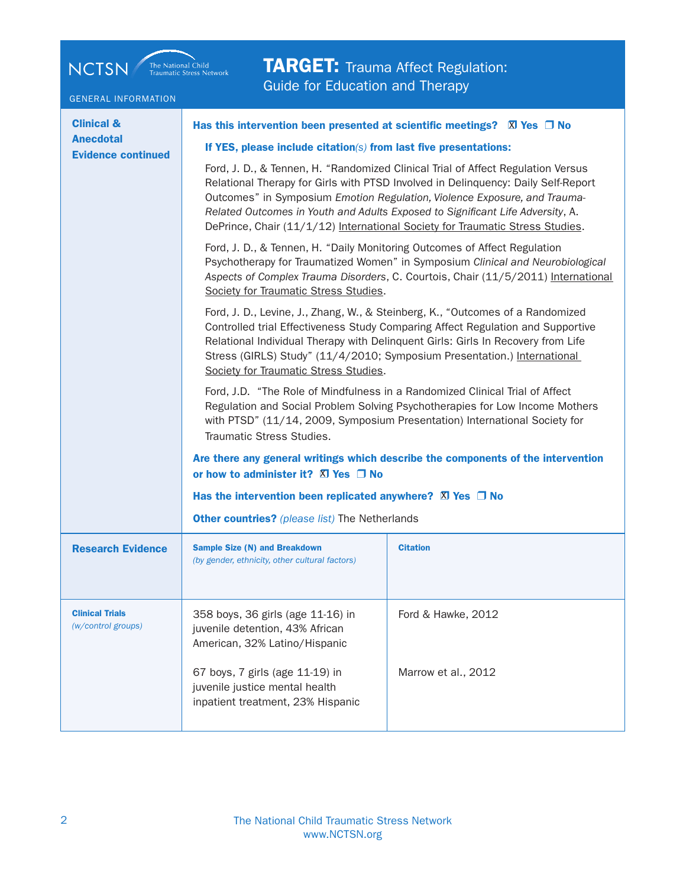| <b>TARGET:</b> Trauma Affect Regulation:<br><b>NCTSN</b><br>The National Child<br>Traumatic Stress Network<br><b>Guide for Education and Therapy</b> |                                                                                                                                                                                                                                                                                                                                                                                                                       |                                                                                  |  |  |
|------------------------------------------------------------------------------------------------------------------------------------------------------|-----------------------------------------------------------------------------------------------------------------------------------------------------------------------------------------------------------------------------------------------------------------------------------------------------------------------------------------------------------------------------------------------------------------------|----------------------------------------------------------------------------------|--|--|
| <b>GENERAL INFORMATION</b>                                                                                                                           |                                                                                                                                                                                                                                                                                                                                                                                                                       |                                                                                  |  |  |
| <b>Clinical &amp;</b><br><b>Anecdotal</b><br><b>Evidence continued</b>                                                                               | Has this intervention been presented at scientific meetings? $\boxtimes$ Yes $\Box$ No                                                                                                                                                                                                                                                                                                                                |                                                                                  |  |  |
|                                                                                                                                                      | If YES, please include citation(s) from last five presentations:                                                                                                                                                                                                                                                                                                                                                      |                                                                                  |  |  |
|                                                                                                                                                      | Ford, J. D., & Tennen, H. "Randomized Clinical Trial of Affect Regulation Versus<br>Relational Therapy for Girls with PTSD Involved in Delinguency: Daily Self-Report<br>Outcomes" in Symposium Emotion Regulation, Violence Exposure, and Trauma-<br>Related Outcomes in Youth and Adults Exposed to Significant Life Adversity, A.<br>DePrince, Chair (11/1/12) International Society for Traumatic Stress Studies. |                                                                                  |  |  |
|                                                                                                                                                      | Ford, J. D., & Tennen, H. "Daily Monitoring Outcomes of Affect Regulation<br>Psychotherapy for Traumatized Women" in Symposium Clinical and Neurobiological<br>Aspects of Complex Trauma Disorders, C. Courtois, Chair (11/5/2011) International<br>Society for Traumatic Stress Studies.                                                                                                                             |                                                                                  |  |  |
|                                                                                                                                                      | Ford, J. D., Levine, J., Zhang, W., & Steinberg, K., "Outcomes of a Randomized<br>Controlled trial Effectiveness Study Comparing Affect Regulation and Supportive<br>Relational Individual Therapy with Delinquent Girls: Girls In Recovery from Life<br>Stress (GIRLS) Study" (11/4/2010; Symposium Presentation.) International<br>Society for Traumatic Stress Studies.                                            |                                                                                  |  |  |
|                                                                                                                                                      | Ford, J.D. "The Role of Mindfulness in a Randomized Clinical Trial of Affect<br>Regulation and Social Problem Solving Psychotherapies for Low Income Mothers<br>with PTSD" (11/14, 2009, Symposium Presentation) International Society for<br>Traumatic Stress Studies.                                                                                                                                               |                                                                                  |  |  |
|                                                                                                                                                      | or how to administer it? $\boxtimes$ Yes $\Box$ No                                                                                                                                                                                                                                                                                                                                                                    | Are there any general writings which describe the components of the intervention |  |  |
|                                                                                                                                                      | Has the intervention been replicated anywhere? $\boxtimes$ Yes $\Box$ No                                                                                                                                                                                                                                                                                                                                              |                                                                                  |  |  |
|                                                                                                                                                      | <b>Other countries?</b> (please list) The Netherlands                                                                                                                                                                                                                                                                                                                                                                 |                                                                                  |  |  |
| <b>Research Evidence</b>                                                                                                                             | <b>Sample Size (N) and Breakdown</b><br>(by gender, ethnicity, other cultural factors)                                                                                                                                                                                                                                                                                                                                | <b>Citation</b>                                                                  |  |  |
| <b>Clinical Trials</b><br>(w/control groups)                                                                                                         | 358 boys, 36 girls (age 11-16) in<br>juvenile detention, 43% African<br>American, 32% Latino/Hispanic                                                                                                                                                                                                                                                                                                                 | Ford & Hawke, 2012                                                               |  |  |
|                                                                                                                                                      | 67 boys, 7 girls (age 11-19) in<br>juvenile justice mental health<br>inpatient treatment, 23% Hispanic                                                                                                                                                                                                                                                                                                                | Marrow et al., 2012                                                              |  |  |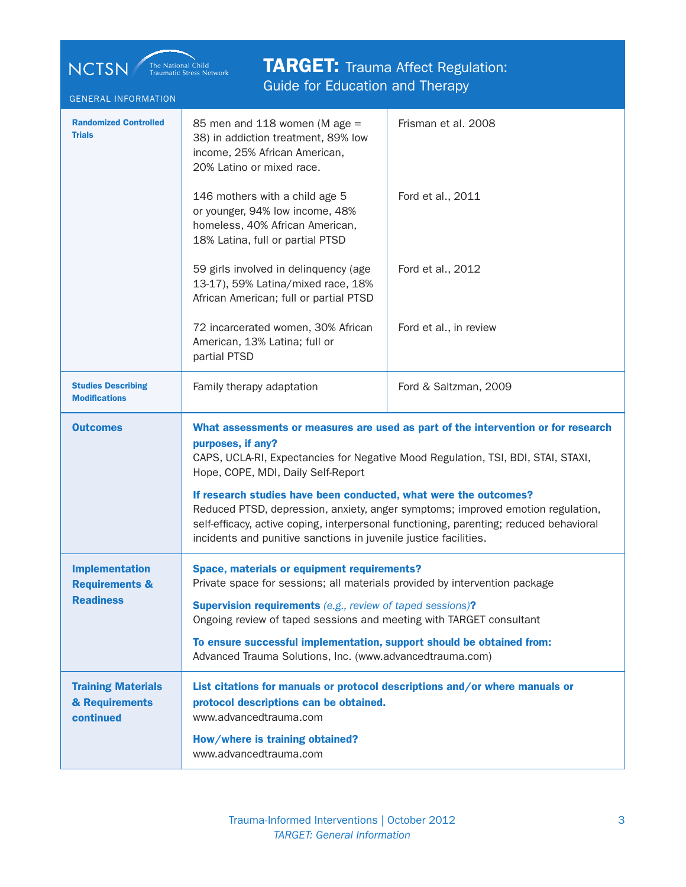| <b>TARGET:</b> Trauma Affect Regulation:<br>The National Child<br>Traumatic Stress Network<br><b>NCTSN</b><br><b>Guide for Education and Therapy</b> |                                                                                                                                                                                                                                                                                                                                                                                                                                                                                                                                                       |                        |
|------------------------------------------------------------------------------------------------------------------------------------------------------|-------------------------------------------------------------------------------------------------------------------------------------------------------------------------------------------------------------------------------------------------------------------------------------------------------------------------------------------------------------------------------------------------------------------------------------------------------------------------------------------------------------------------------------------------------|------------------------|
| <b>GENERAL INFORMATION</b><br><b>Randomized Controlled</b><br><b>Trials</b>                                                                          | 85 men and 118 women (M age $=$<br>38) in addiction treatment, 89% low<br>income, 25% African American,<br>20% Latino or mixed race.                                                                                                                                                                                                                                                                                                                                                                                                                  | Frisman et al. 2008    |
|                                                                                                                                                      | 146 mothers with a child age 5<br>or younger, 94% low income, 48%<br>homeless, 40% African American,<br>18% Latina, full or partial PTSD                                                                                                                                                                                                                                                                                                                                                                                                              | Ford et al., 2011      |
|                                                                                                                                                      | 59 girls involved in delinquency (age<br>13-17), 59% Latina/mixed race, 18%<br>African American; full or partial PTSD                                                                                                                                                                                                                                                                                                                                                                                                                                 | Ford et al., 2012      |
|                                                                                                                                                      | 72 incarcerated women, 30% African<br>American, 13% Latina; full or<br>partial PTSD                                                                                                                                                                                                                                                                                                                                                                                                                                                                   | Ford et al., in review |
| <b>Studies Describing</b><br><b>Modifications</b>                                                                                                    | Family therapy adaptation                                                                                                                                                                                                                                                                                                                                                                                                                                                                                                                             | Ford & Saltzman, 2009  |
| <b>Outcomes</b>                                                                                                                                      | What assessments or measures are used as part of the intervention or for research<br>purposes, if any?<br>CAPS, UCLA-RI, Expectancies for Negative Mood Regulation, TSI, BDI, STAI, STAXI,<br>Hope, COPE, MDI, Daily Self-Report<br>If research studies have been conducted, what were the outcomes?<br>Reduced PTSD, depression, anxiety, anger symptoms; improved emotion regulation,<br>self-efficacy, active coping, interpersonal functioning, parenting; reduced behavioral<br>incidents and punitive sanctions in juvenile justice facilities. |                        |
| <b>Implementation</b><br><b>Requirements &amp;</b><br><b>Readiness</b>                                                                               | Space, materials or equipment requirements?<br>Private space for sessions; all materials provided by intervention package<br><b>Supervision requirements</b> (e.g., review of taped sessions)?<br>Ongoing review of taped sessions and meeting with TARGET consultant<br>To ensure successful implementation, support should be obtained from:<br>Advanced Trauma Solutions, Inc. (www.advancedtrauma.com)                                                                                                                                            |                        |
| <b>Training Materials</b><br>& Requirements<br>continued                                                                                             | List citations for manuals or protocol descriptions and/or where manuals or<br>protocol descriptions can be obtained.<br>www.advancedtrauma.com<br>How/where is training obtained?<br>www.advancedtrauma.com                                                                                                                                                                                                                                                                                                                                          |                        |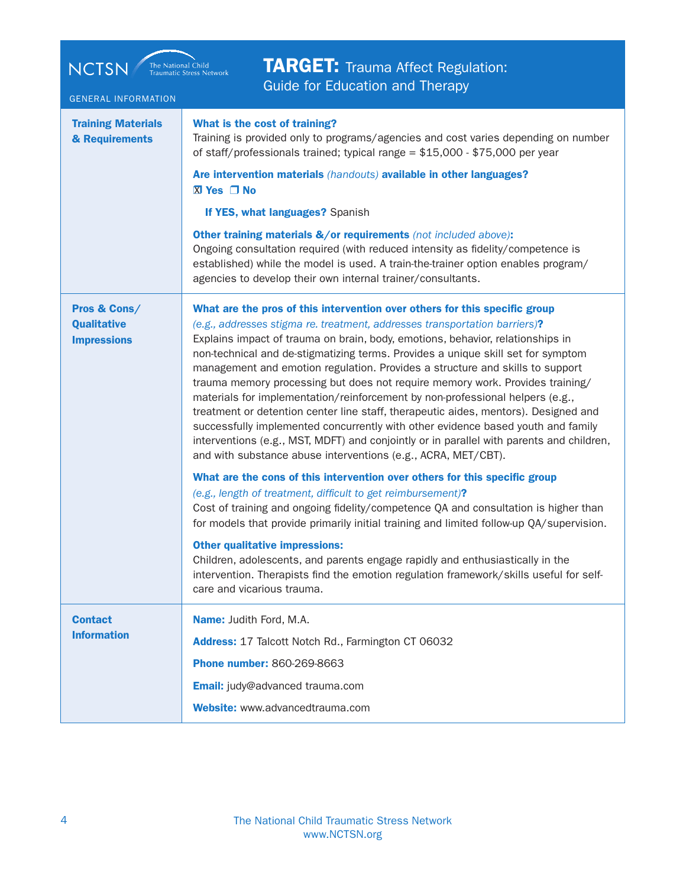| <b>TARGET:</b> Trauma Affect Regulation:<br><b>NCTSN</b><br>The National Child<br>Traumatic Stress Network<br><b>Guide for Education and Therapy</b> |                                                                                                                                                                                                                                                                                                                                                                                                                                                                                                                                                                                                                                                                                                                                                                                                                                                                                                                                                                                                                                                                                                                                                                                                                                                                                                                                                                                                                                                                                                              |  |
|------------------------------------------------------------------------------------------------------------------------------------------------------|--------------------------------------------------------------------------------------------------------------------------------------------------------------------------------------------------------------------------------------------------------------------------------------------------------------------------------------------------------------------------------------------------------------------------------------------------------------------------------------------------------------------------------------------------------------------------------------------------------------------------------------------------------------------------------------------------------------------------------------------------------------------------------------------------------------------------------------------------------------------------------------------------------------------------------------------------------------------------------------------------------------------------------------------------------------------------------------------------------------------------------------------------------------------------------------------------------------------------------------------------------------------------------------------------------------------------------------------------------------------------------------------------------------------------------------------------------------------------------------------------------------|--|
| <b>GENERAL INFORMATION</b>                                                                                                                           |                                                                                                                                                                                                                                                                                                                                                                                                                                                                                                                                                                                                                                                                                                                                                                                                                                                                                                                                                                                                                                                                                                                                                                                                                                                                                                                                                                                                                                                                                                              |  |
| <b>Training Materials</b><br>& Requirements                                                                                                          | What is the cost of training?<br>Training is provided only to programs/agencies and cost varies depending on number<br>of staff/professionals trained; typical range = $$15,000$ - $$75,000$ per year                                                                                                                                                                                                                                                                                                                                                                                                                                                                                                                                                                                                                                                                                                                                                                                                                                                                                                                                                                                                                                                                                                                                                                                                                                                                                                        |  |
|                                                                                                                                                      | Are intervention materials (handouts) available in other languages?<br>$X$ Yes $\Box$ No                                                                                                                                                                                                                                                                                                                                                                                                                                                                                                                                                                                                                                                                                                                                                                                                                                                                                                                                                                                                                                                                                                                                                                                                                                                                                                                                                                                                                     |  |
|                                                                                                                                                      | If YES, what languages? Spanish                                                                                                                                                                                                                                                                                                                                                                                                                                                                                                                                                                                                                                                                                                                                                                                                                                                                                                                                                                                                                                                                                                                                                                                                                                                                                                                                                                                                                                                                              |  |
|                                                                                                                                                      | <b>Other training materials &amp;/or requirements</b> (not included above):<br>Ongoing consultation required (with reduced intensity as fidelity/competence is<br>established) while the model is used. A train-the-trainer option enables program/<br>agencies to develop their own internal trainer/consultants.                                                                                                                                                                                                                                                                                                                                                                                                                                                                                                                                                                                                                                                                                                                                                                                                                                                                                                                                                                                                                                                                                                                                                                                           |  |
| Pros & Cons/<br><b>Qualitative</b><br><b>Impressions</b>                                                                                             | What are the pros of this intervention over others for this specific group<br>(e.g., addresses stigma re. treatment, addresses transportation barriers)?<br>Explains impact of trauma on brain, body, emotions, behavior, relationships in<br>non-technical and de-stigmatizing terms. Provides a unique skill set for symptom<br>management and emotion regulation. Provides a structure and skills to support<br>trauma memory processing but does not require memory work. Provides training/<br>materials for implementation/reinforcement by non-professional helpers (e.g.,<br>treatment or detention center line staff, therapeutic aides, mentors). Designed and<br>successfully implemented concurrently with other evidence based youth and family<br>interventions (e.g., MST, MDFT) and conjointly or in parallel with parents and children,<br>and with substance abuse interventions (e.g., ACRA, MET/CBT).<br>What are the cons of this intervention over others for this specific group<br>(e.g., length of treatment, difficult to get reimbursement)?<br>Cost of training and ongoing fidelity/competence QA and consultation is higher than<br>for models that provide primarily initial training and limited follow-up QA/supervision.<br><b>Other qualitative impressions:</b><br>Children, adolescents, and parents engage rapidly and enthusiastically in the<br>intervention. Therapists find the emotion regulation framework/skills useful for self-<br>care and vicarious trauma. |  |
| <b>Contact</b><br><b>Information</b>                                                                                                                 | Name: Judith Ford, M.A.<br>Address: 17 Talcott Notch Rd., Farmington CT 06032<br><b>Phone number: 860-269-8663</b><br><b>Email:</b> judy@advanced trauma.com<br>Website: www.advancedtrauma.com                                                                                                                                                                                                                                                                                                                                                                                                                                                                                                                                                                                                                                                                                                                                                                                                                                                                                                                                                                                                                                                                                                                                                                                                                                                                                                              |  |